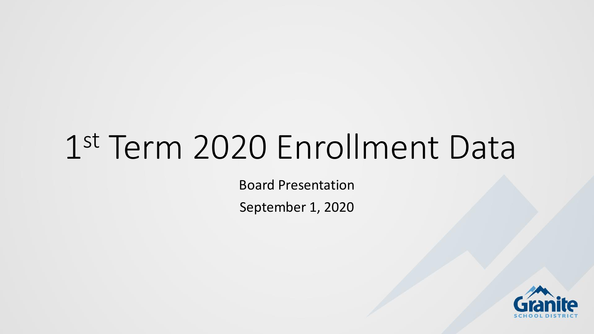# 1 st Term 2020 Enrollment Data

Board Presentation

September 1, 2020

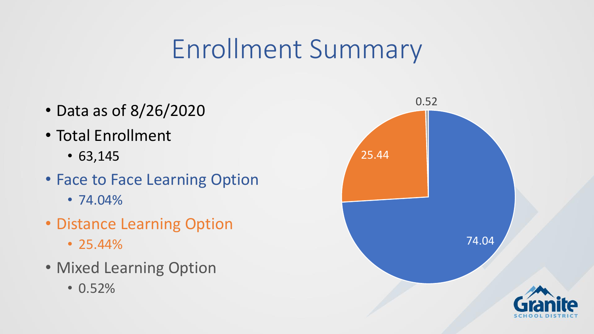# Enrollment Summary

- Data as of 8/26/2020
- Total Enrollment
	- 63,145
- Face to Face Learning Option
	- 74.04%
- Distance Learning Option
	- 25.44%
- Mixed Learning Option
	- 0.52%

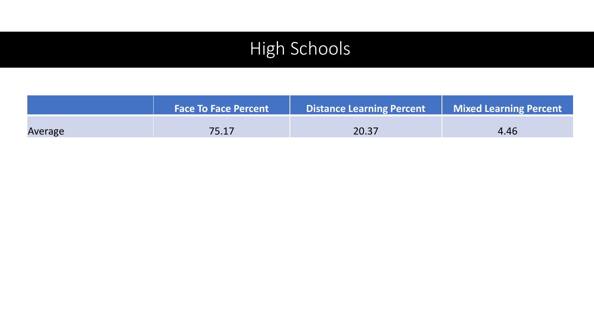# High Schools

|         | <b>Face To Face Percent</b> | <b>Distance Learning Percent</b> | Mixed Learning Percent |
|---------|-----------------------------|----------------------------------|------------------------|
| Average | 75.17                       | 20.37                            | 4.46                   |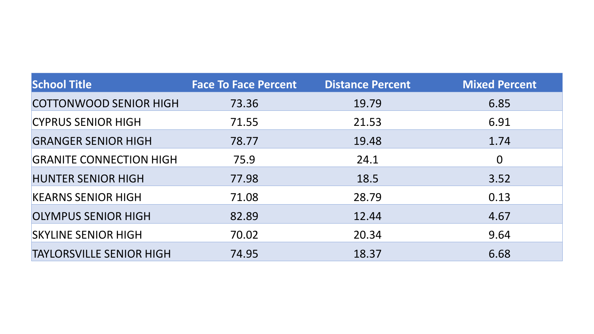| <b>School Title</b>             | <b>Face To Face Percent</b> | <b>Distance Percent</b> | <b>Mixed Percent</b> |
|---------------------------------|-----------------------------|-------------------------|----------------------|
| <b>COTTONWOOD SENIOR HIGH</b>   | 73.36                       | 19.79                   | 6.85                 |
| <b>CYPRUS SENIOR HIGH</b>       | 71.55                       | 21.53                   | 6.91                 |
| <b>GRANGER SENIOR HIGH</b>      | 78.77                       | 19.48                   | 1.74                 |
| <b>GRANITE CONNECTION HIGH</b>  | 75.9                        | 24.1                    | $\overline{0}$       |
| <b>HUNTER SENIOR HIGH</b>       | 77.98                       | 18.5                    | 3.52                 |
| <b>KEARNS SENIOR HIGH</b>       | 71.08                       | 28.79                   | 0.13                 |
| <b>OLYMPUS SENIOR HIGH</b>      | 82.89                       | 12.44                   | 4.67                 |
| <b>SKYLINE SENIOR HIGH</b>      | 70.02                       | 20.34                   | 9.64                 |
| <b>TAYLORSVILLE SENIOR HIGH</b> | 74.95                       | 18.37                   | 6.68                 |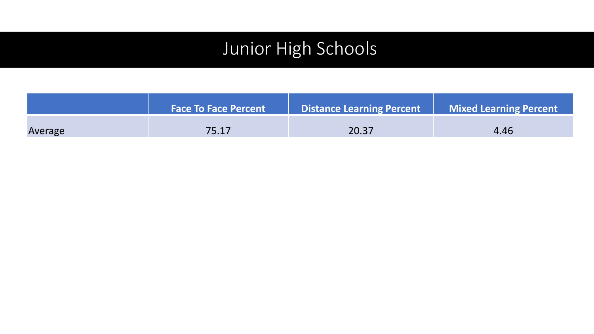## Junior High Schools

|         | <b>Face To Face Percent</b> | <b>Distance Learning Percent</b> | <b>Mixed Learning Percent</b> |
|---------|-----------------------------|----------------------------------|-------------------------------|
| Average | 75.17                       | 20.37                            | 4.46                          |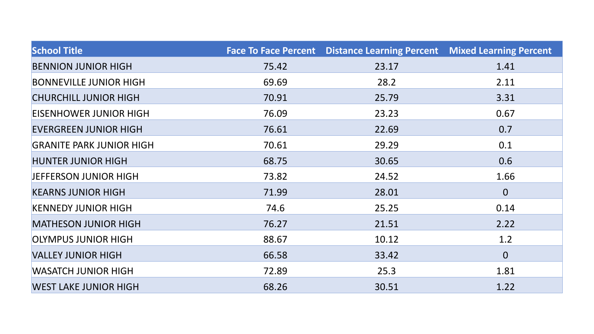| <b>School Title</b>             |       | Face To Face Percent  Distance Learning Percent  Mixed Learning Percent |                |
|---------------------------------|-------|-------------------------------------------------------------------------|----------------|
| <b>BENNION JUNIOR HIGH</b>      | 75.42 | 23.17                                                                   | 1.41           |
| <b>BONNEVILLE JUNIOR HIGH</b>   | 69.69 | 28.2                                                                    | 2.11           |
| <b>CHURCHILL JUNIOR HIGH</b>    | 70.91 | 25.79                                                                   | 3.31           |
| <b>EISENHOWER JUNIOR HIGH</b>   | 76.09 | 23.23                                                                   | 0.67           |
| <b>EVERGREEN JUNIOR HIGH</b>    | 76.61 | 22.69                                                                   | 0.7            |
| <b>GRANITE PARK JUNIOR HIGH</b> | 70.61 | 29.29                                                                   | 0.1            |
| <b>HUNTER JUNIOR HIGH</b>       | 68.75 | 30.65                                                                   | 0.6            |
| <b>JEFFERSON JUNIOR HIGH</b>    | 73.82 | 24.52                                                                   | 1.66           |
| <b>KEARNS JUNIOR HIGH</b>       | 71.99 | 28.01                                                                   | $\overline{0}$ |
| <b>KENNEDY JUNIOR HIGH</b>      | 74.6  | 25.25                                                                   | 0.14           |
| <b>MATHESON JUNIOR HIGH</b>     | 76.27 | 21.51                                                                   | 2.22           |
| <b>OLYMPUS JUNIOR HIGH</b>      | 88.67 | 10.12                                                                   | 1.2            |
| <b>VALLEY JUNIOR HIGH</b>       | 66.58 | 33.42                                                                   | $\overline{0}$ |
| <b>WASATCH JUNIOR HIGH</b>      | 72.89 | 25.3                                                                    | 1.81           |
| <b>WEST LAKE JUNIOR HIGH</b>    | 68.26 | 30.51                                                                   | 1.22           |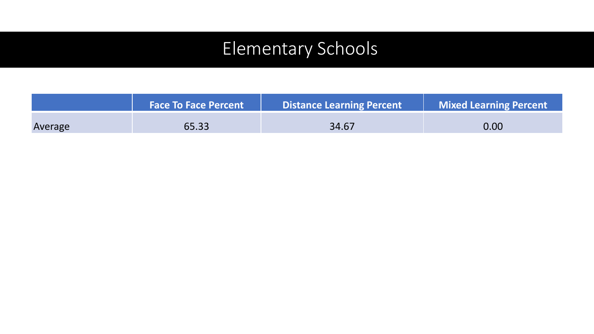## Elementary Schools

|         | <b>Face To Face Percent</b> | <b>Distance Learning Percent</b> | <b>Mixed Learning Percent</b> |
|---------|-----------------------------|----------------------------------|-------------------------------|
| Average | 65.33                       | 34.67                            | 0.00                          |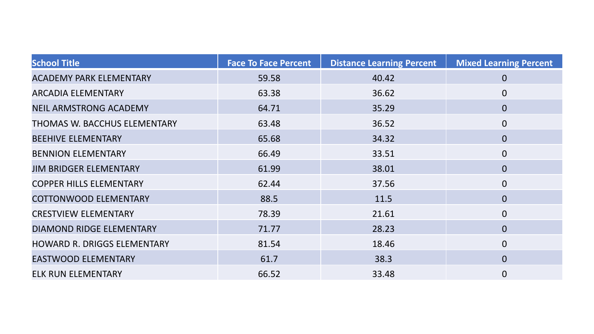| <b>School Title</b>                | <b>Face To Face Percent</b> | <b>Distance Learning Percent</b> | <b>Mixed Learning Percent</b> |
|------------------------------------|-----------------------------|----------------------------------|-------------------------------|
| <b>ACADEMY PARK ELEMENTARY</b>     | 59.58                       | 40.42                            | $\mathbf 0$                   |
| <b>ARCADIA ELEMENTARY</b>          | 63.38                       | 36.62                            | $\overline{0}$                |
| <b>NEIL ARMSTRONG ACADEMY</b>      | 64.71                       | 35.29                            | $\overline{0}$                |
| THOMAS W. BACCHUS ELEMENTARY       | 63.48                       | 36.52                            | $\overline{0}$                |
| <b>BEEHIVE ELEMENTARY</b>          | 65.68                       | 34.32                            | $\overline{0}$                |
| <b>BENNION ELEMENTARY</b>          | 66.49                       | 33.51                            | $\overline{0}$                |
| <b>JIM BRIDGER ELEMENTARY</b>      | 61.99                       | 38.01                            | $\overline{0}$                |
| <b>COPPER HILLS ELEMENTARY</b>     | 62.44                       | 37.56                            | $\overline{0}$                |
| <b>COTTONWOOD ELEMENTARY</b>       | 88.5                        | 11.5                             | $\overline{0}$                |
| <b>CRESTVIEW ELEMENTARY</b>        | 78.39                       | 21.61                            | $\overline{0}$                |
| <b>DIAMOND RIDGE ELEMENTARY</b>    | 71.77                       | 28.23                            | $\overline{0}$                |
| <b>HOWARD R. DRIGGS ELEMENTARY</b> | 81.54                       | 18.46                            | $\overline{0}$                |
| <b>EASTWOOD ELEMENTARY</b>         | 61.7                        | 38.3                             | $\overline{0}$                |
| <b>ELK RUN ELEMENTARY</b>          | 66.52                       | 33.48                            | $\overline{0}$                |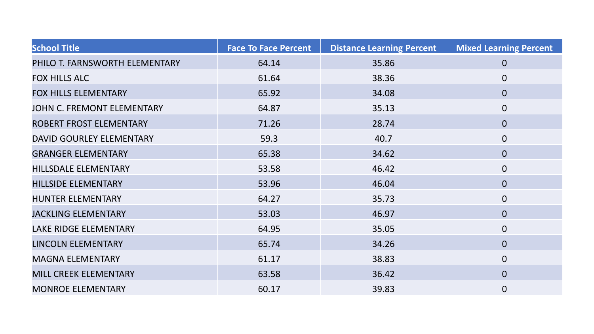| <b>School Title</b>            | <b>Face To Face Percent</b> | <b>Distance Learning Percent</b> | <b>Mixed Learning Percent</b> |
|--------------------------------|-----------------------------|----------------------------------|-------------------------------|
| PHILO T. FARNSWORTH ELEMENTARY | 64.14                       | 35.86                            | $\overline{0}$                |
| <b>FOX HILLS ALC</b>           | 61.64                       | 38.36                            | $\overline{0}$                |
| <b>FOX HILLS ELEMENTARY</b>    | 65.92                       | 34.08                            | $\mathbf{0}$                  |
| JOHN C. FREMONT ELEMENTARY     | 64.87                       | 35.13                            | $\mathbf 0$                   |
| ROBERT FROST ELEMENTARY        | 71.26                       | 28.74                            | $\mathbf 0$                   |
| DAVID GOURLEY ELEMENTARY       | 59.3                        | 40.7                             | $\overline{0}$                |
| <b>GRANGER ELEMENTARY</b>      | 65.38                       | 34.62                            | $\overline{0}$                |
| HILLSDALE ELEMENTARY           | 53.58                       | 46.42                            | $\mathbf 0$                   |
| <b>HILLSIDE ELEMENTARY</b>     | 53.96                       | 46.04                            | $\mathbf{0}$                  |
| <b>HUNTER ELEMENTARY</b>       | 64.27                       | 35.73                            | $\overline{0}$                |
| <b>JACKLING ELEMENTARY</b>     | 53.03                       | 46.97                            | $\overline{0}$                |
| LAKE RIDGE ELEMENTARY          | 64.95                       | 35.05                            | $\mathbf 0$                   |
| LINCOLN ELEMENTARY             | 65.74                       | 34.26                            | $\mathbf 0$                   |
| <b>MAGNA ELEMENTARY</b>        | 61.17                       | 38.83                            | $\overline{0}$                |
| <b>MILL CREEK ELEMENTARY</b>   | 63.58                       | 36.42                            | $\overline{0}$                |
| <b>MONROE ELEMENTARY</b>       | 60.17                       | 39.83                            | $\mathbf 0$                   |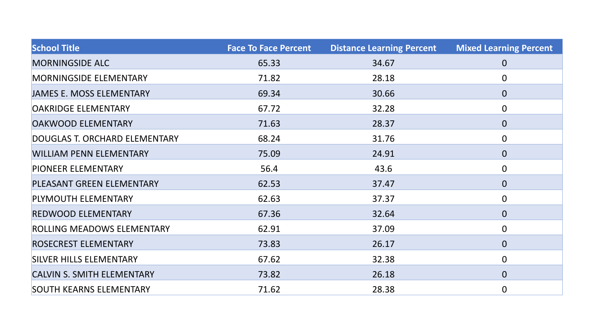| <b>School Title</b>               | <b>Face To Face Percent</b> | <b>Distance Learning Percent</b> | <b>Mixed Learning Percent</b> |
|-----------------------------------|-----------------------------|----------------------------------|-------------------------------|
| <b>MORNINGSIDE ALC</b>            | 65.33                       | 34.67                            | $\mathbf 0$                   |
| <b>MORNINGSIDE ELEMENTARY</b>     | 71.82                       | 28.18                            | $\overline{0}$                |
| <b>JAMES E. MOSS ELEMENTARY</b>   | 69.34                       | 30.66                            | $\overline{0}$                |
| <b>OAKRIDGE ELEMENTARY</b>        | 67.72                       | 32.28                            | $\boldsymbol{0}$              |
| <b>OAKWOOD ELEMENTARY</b>         | 71.63                       | 28.37                            | $\mathbf{0}$                  |
| DOUGLAS T. ORCHARD ELEMENTARY     | 68.24                       | 31.76                            | $\mathbf 0$                   |
| <b>WILLIAM PENN ELEMENTARY</b>    | 75.09                       | 24.91                            | $\overline{0}$                |
| <b>PIONEER ELEMENTARY</b>         | 56.4                        | 43.6                             | $\mathbf 0$                   |
| PLEASANT GREEN ELEMENTARY         | 62.53                       | 37.47                            | $\mathbf 0$                   |
| PLYMOUTH ELEMENTARY               | 62.63                       | 37.37                            | $\mathbf 0$                   |
| <b>REDWOOD ELEMENTARY</b>         | 67.36                       | 32.64                            | $\overline{0}$                |
| ROLLING MEADOWS ELEMENTARY        | 62.91                       | 37.09                            | $\mathbf 0$                   |
| <b>ROSECREST ELEMENTARY</b>       | 73.83                       | 26.17                            | $\mathbf 0$                   |
| <b>SILVER HILLS ELEMENTARY</b>    | 67.62                       | 32.38                            | $\mathbf 0$                   |
| <b>CALVIN S. SMITH ELEMENTARY</b> | 73.82                       | 26.18                            | $\overline{0}$                |
| <b>SOUTH KEARNS ELEMENTARY</b>    | 71.62                       | 28.38                            | $\mathbf 0$                   |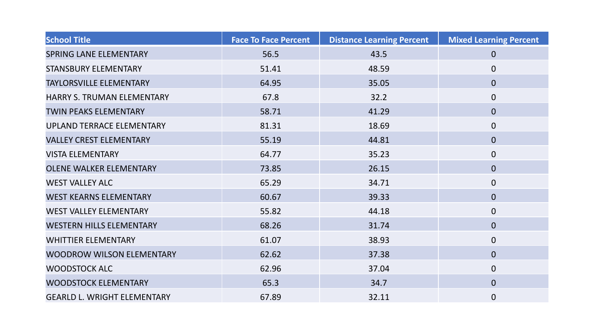| <b>School Title</b>                | <b>Face To Face Percent</b> | <b>Distance Learning Percent</b> | <b>Mixed Learning Percent</b> |
|------------------------------------|-----------------------------|----------------------------------|-------------------------------|
| <b>SPRING LANE ELEMENTARY</b>      | 56.5                        | 43.5                             | $\overline{0}$                |
| <b>STANSBURY ELEMENTARY</b>        | 51.41                       | 48.59                            | $\overline{0}$                |
| <b>TAYLORSVILLE ELEMENTARY</b>     | 64.95                       | 35.05                            | $\mathbf 0$                   |
| HARRY S. TRUMAN ELEMENTARY         | 67.8                        | 32.2                             | $\mathbf 0$                   |
| <b>TWIN PEAKS ELEMENTARY</b>       | 58.71                       | 41.29                            | $\overline{0}$                |
| UPLAND TERRACE ELEMENTARY          | 81.31                       | 18.69                            | $\mathbf 0$                   |
| <b>VALLEY CREST ELEMENTARY</b>     | 55.19                       | 44.81                            | $\overline{0}$                |
| <b>VISTA ELEMENTARY</b>            | 64.77                       | 35.23                            | $\overline{0}$                |
| <b>OLENE WALKER ELEMENTARY</b>     | 73.85                       | 26.15                            | $\overline{0}$                |
| <b>WEST VALLEY ALC</b>             | 65.29                       | 34.71                            | $\mathbf 0$                   |
| <b>WEST KEARNS ELEMENTARY</b>      | 60.67                       | 39.33                            | $\overline{0}$                |
| <b>WEST VALLEY ELEMENTARY</b>      | 55.82                       | 44.18                            | $\overline{0}$                |
| <b>WESTERN HILLS ELEMENTARY</b>    | 68.26                       | 31.74                            | $\mathbf{0}$                  |
| <b>WHITTIER ELEMENTARY</b>         | 61.07                       | 38.93                            | $\overline{0}$                |
| <b>WOODROW WILSON ELEMENTARY</b>   | 62.62                       | 37.38                            | $\overline{0}$                |
| <b>WOODSTOCK ALC</b>               | 62.96                       | 37.04                            | $\overline{0}$                |
| <b>WOODSTOCK ELEMENTARY</b>        | 65.3                        | 34.7                             | $\overline{0}$                |
| <b>GEARLD L. WRIGHT ELEMENTARY</b> | 67.89                       | 32.11                            | $\boldsymbol{0}$              |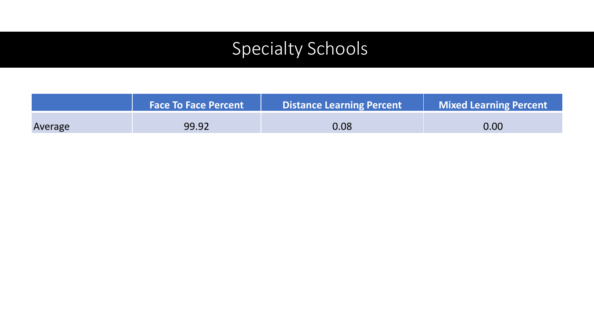# Specialty Schools

|         | <b>Face To Face Percent</b> | <b>Distance Learning Percent</b> | <b>Mixed Learning Percent</b> |
|---------|-----------------------------|----------------------------------|-------------------------------|
| Average | 99.92                       | 0.08                             | 0.00                          |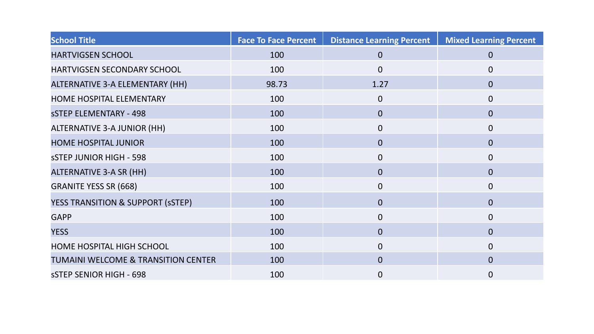| <b>School Title</b>                            | <b>Face To Face Percent</b> | <b>Distance Learning Percent</b> | <b>Mixed Learning Percent</b> |
|------------------------------------------------|-----------------------------|----------------------------------|-------------------------------|
| <b>HARTVIGSEN SCHOOL</b>                       | 100                         | $\overline{0}$                   | $\overline{0}$                |
| HARTVIGSEN SECONDARY SCHOOL                    | 100                         | $\overline{0}$                   | $\overline{0}$                |
| ALTERNATIVE 3-A ELEMENTARY (HH)                | 98.73                       | 1.27                             | $\overline{0}$                |
| <b>HOME HOSPITAL ELEMENTARY</b>                | 100                         | $\overline{0}$                   | $\overline{0}$                |
| <b>SSTEP ELEMENTARY - 498</b>                  | 100                         | $\mathbf{0}$                     | $\overline{0}$                |
| <b>ALTERNATIVE 3-A JUNIOR (HH)</b>             | 100                         | $\overline{0}$                   | $\overline{0}$                |
| <b>HOME HOSPITAL JUNIOR</b>                    | 100                         | $\overline{0}$                   | $\overline{0}$                |
| <b>SSTEP JUNIOR HIGH - 598</b>                 | 100                         | $\mathbf 0$                      | $\mathbf{0}$                  |
| ALTERNATIVE 3-A SR (HH)                        | 100                         | $\overline{0}$                   | $\overline{0}$                |
| <b>GRANITE YESS SR (668)</b>                   | 100                         | $\mathbf 0$                      | $\overline{0}$                |
| YESS TRANSITION & SUPPORT (SSTEP)              | 100                         | $\overline{0}$                   | $\overline{0}$                |
| <b>GAPP</b>                                    | 100                         | $\overline{0}$                   | $\overline{0}$                |
| <b>YESS</b>                                    | 100                         | $\overline{0}$                   | $\overline{0}$                |
| <b>HOME HOSPITAL HIGH SCHOOL</b>               | 100                         | $\overline{0}$                   | $\Omega$                      |
| <b>TUMAINI WELCOME &amp; TRANSITION CENTER</b> | 100                         | $\overline{0}$                   | $\Omega$                      |
| <b>SSTEP SENIOR HIGH - 698</b>                 | 100                         | 0                                | $\overline{0}$                |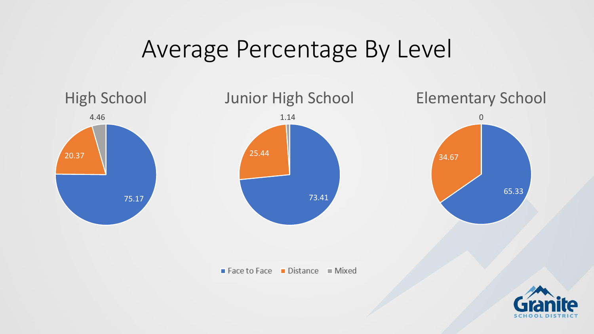# Average Percentage By Level

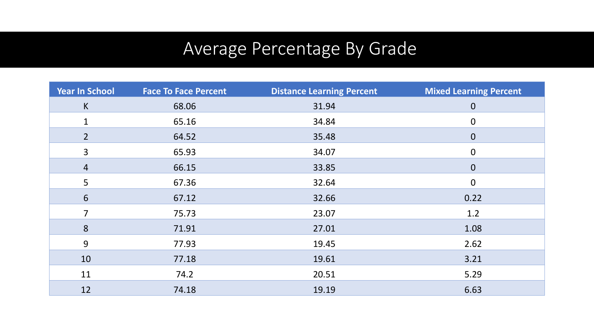## Average Percentage By Grade

| <b>Year In School</b> | <b>Face To Face Percent</b> | <b>Distance Learning Percent</b> | <b>Mixed Learning Percent</b> |
|-----------------------|-----------------------------|----------------------------------|-------------------------------|
| $\mathsf K$           | 68.06                       | 31.94                            | $\overline{0}$                |
| $\mathbf{1}$          | 65.16                       | 34.84                            | $\boldsymbol{0}$              |
| $\overline{2}$        | 64.52                       | 35.48                            | $\mathbf{0}$                  |
| 3                     | 65.93                       | 34.07                            | $\mathbf 0$                   |
| $\overline{4}$        | 66.15                       | 33.85                            | $\overline{0}$                |
| 5                     | 67.36                       | 32.64                            | $\mathbf 0$                   |
| 6                     | 67.12                       | 32.66                            | 0.22                          |
| 7                     | 75.73                       | 23.07                            | 1.2                           |
| 8                     | 71.91                       | 27.01                            | 1.08                          |
| 9                     | 77.93                       | 19.45                            | 2.62                          |
| 10                    | 77.18                       | 19.61                            | 3.21                          |
| 11                    | 74.2                        | 20.51                            | 5.29                          |
| 12                    | 74.18                       | 19.19                            | 6.63                          |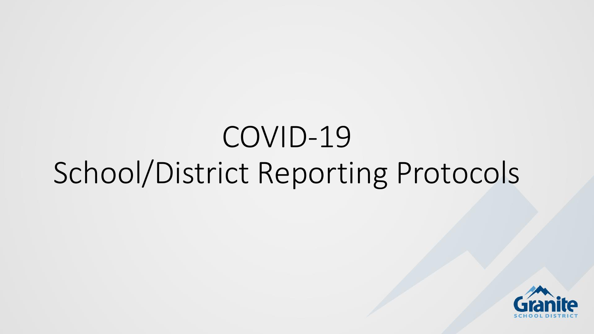# COVID-19 School/District Reporting Protocols

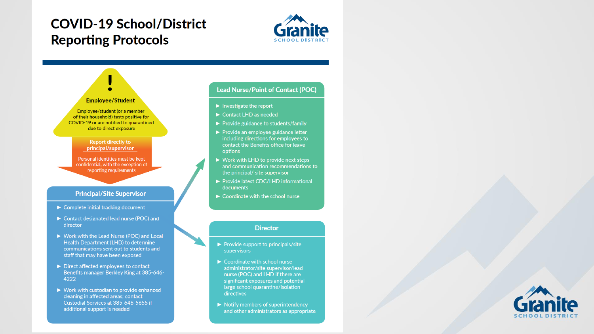#### **COVID-19 School/District Reporting Protocols**





- 
- $\blacktriangleright$  Provide guidance to students/family
- $\blacktriangleright$  Provide an employee guidance letter including directions for employees to contact the Benefits office for leave
- $\triangleright$  Work with LHD to provide next steps and communication recommendations to the principal/ site supervisor
- ▶ Provide latest CDC/LHD informational
- $\triangleright$  Coordinate with the school nurse

- $\blacktriangleright$  Provide support to principals/site
- $\triangleright$  Coordinate with school nurse administrator/site supervisor/lead nurse (POC) and LHD if there are significant exposures and potential large school quarantine/isolation
- $\triangleright$  Notify members of superintendency and other administrators as appropriate

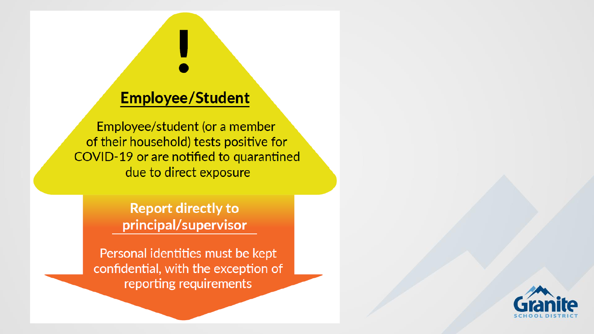### **Employee/Student**

Employee/student (or a member of their household) tests positive for COVID-19 or are notified to quarantined due to direct exposure

> **Report directly to** principal/supervisor

Personal identities must be kept confidential, with the exception of reporting requirements

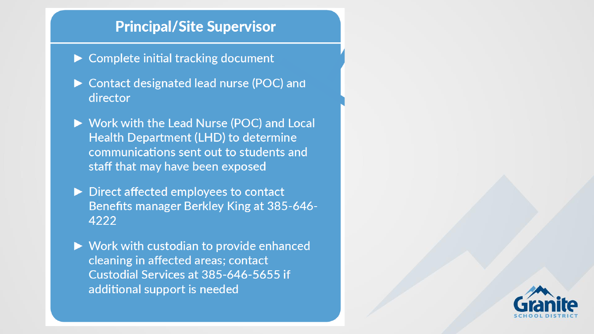#### **Principal/Site Supervisor**

- $\triangleright$  Complete initial tracking document
- ► Contact designated lead nurse (POC) and director
- ▶ Work with the Lead Nurse (POC) and Local Health Department (LHD) to determine communications sent out to students and staff that may have been exposed
- Direct affected employees to contact **Benefits manager Berkley King at 385-646-**4222
- $\triangleright$  Work with custodian to provide enhanced cleaning in affected areas; contact Custodial Services at 385-646-5655 if additional support is needed

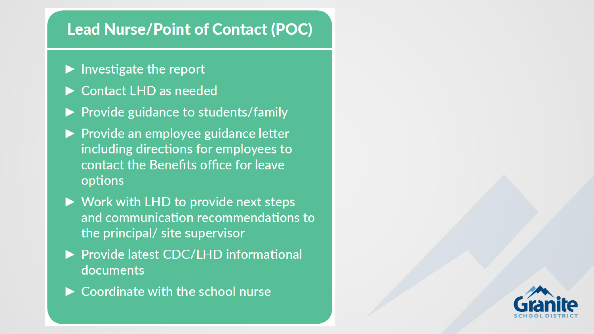### **Lead Nurse/Point of Contact (POC)**

- $\blacktriangleright$  Investigate the report
- Contact LHD as needed
- $\blacktriangleright$  Provide guidance to students/family
- ▶ Provide an employee guidance letter including directions for employees to contact the Benefits office for leave options
- $\triangleright$  Work with LHD to provide next steps and communication recommendations to the principal/ site supervisor
- ▶ Provide latest CDC/LHD informational documents
- $\blacktriangleright$  Coordinate with the school nurse

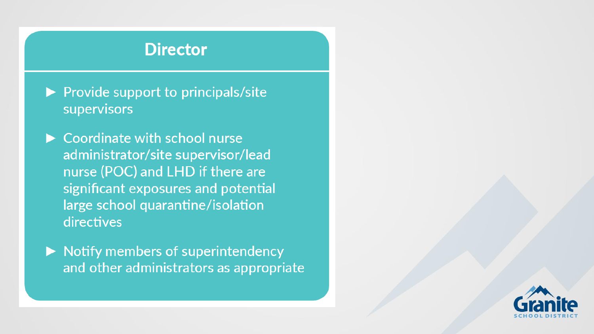#### **Director**

- $\blacktriangleright$  Provide support to principals/site supervisors
- $\triangleright$  Coordinate with school nurse administrator/site supervisor/lead nurse (POC) and LHD if there are significant exposures and potential large school quarantine/isolation directives
- $\triangleright$  Notify members of superintendency and other administrators as appropriate

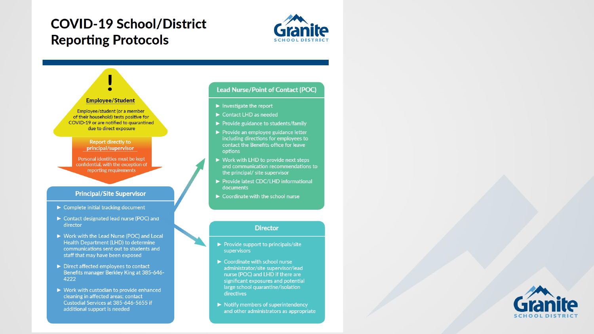#### **COVID-19 School/District Reporting Protocols**





- 
- $\blacktriangleright$  Provide guidance to students/family
- $\blacktriangleright$  Provide an employee guidance letter including directions for employees to contact the Benefits office for leave
- $\triangleright$  Work with LHD to provide next steps and communication recommendations to the principal/ site supervisor
- ▶ Provide latest CDC/LHD informational
- $\triangleright$  Coordinate with the school nurse

- $\blacktriangleright$  Provide support to principals/site
- $\triangleright$  Coordinate with school nurse administrator/site supervisor/lead nurse (POC) and LHD if there are significant exposures and potential large school quarantine/isolation
- $\triangleright$  Notify members of superintendency and other administrators as appropriate